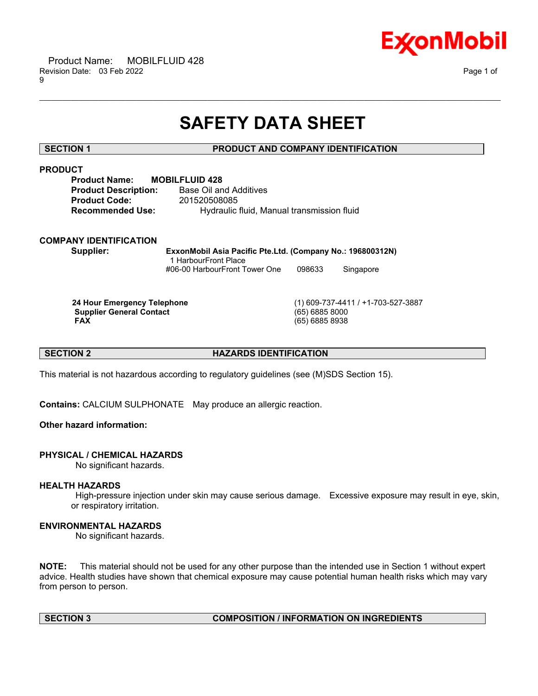

# **SAFETY DATA SHEET**

\_\_\_\_\_\_\_\_\_\_\_\_\_\_\_\_\_\_\_\_\_\_\_\_\_\_\_\_\_\_\_\_\_\_\_\_\_\_\_\_\_\_\_\_\_\_\_\_\_\_\_\_\_\_\_\_\_\_\_\_\_\_\_\_\_\_\_\_\_\_\_\_\_\_\_\_\_\_\_\_\_\_\_\_\_\_\_\_\_\_\_\_\_\_\_\_\_\_\_\_\_\_\_\_\_\_\_\_\_\_\_\_\_\_\_\_\_\_

# **SECTION 1 PRODUCT AND COMPANY IDENTIFICATION**

# **PRODUCT**

| <b>MOBILFLUID 428</b>                      |
|--------------------------------------------|
| Base Oil and Additives                     |
| 201520508085                               |
| Hydraulic fluid, Manual transmission fluid |
|                                            |

# **COMPANY IDENTIFICATION**

**Supplier: ExxonMobil Asia Pacific Pte.Ltd. (Company No.: 196800312N)** 1 HarbourFront Place #06-00 HarbourFront Tower One 098633 Singapore

**Supplier General Contact** (65) 6885 8000

**24 Hour Emergency Telephone** (1) 609-737-4411 / +1-703-527-3887 **FAX** (65) 6885 8938

# **SECTION 2 HAZARDS IDENTIFICATION**

This material is not hazardous according to regulatory guidelines (see (M)SDS Section 15).

**Contains:** CALCIUM SULPHONATE May produce an allergic reaction.

# **Other hazard information:**

# **PHYSICAL / CHEMICAL HAZARDS**

No significant hazards.

### **HEALTH HAZARDS**

High-pressure injection under skin may cause serious damage. Excessive exposure may result in eye, skin, or respiratory irritation.

# **ENVIRONMENTAL HAZARDS**

No significant hazards.

**NOTE:** This material should not be used for any other purpose than the intended use in Section 1 without expert advice. Health studies have shown that chemical exposure may cause potential human health risks which may vary from person to person.

# **SECTION 3 COMPOSITION / INFORMATION ON INGREDIENTS**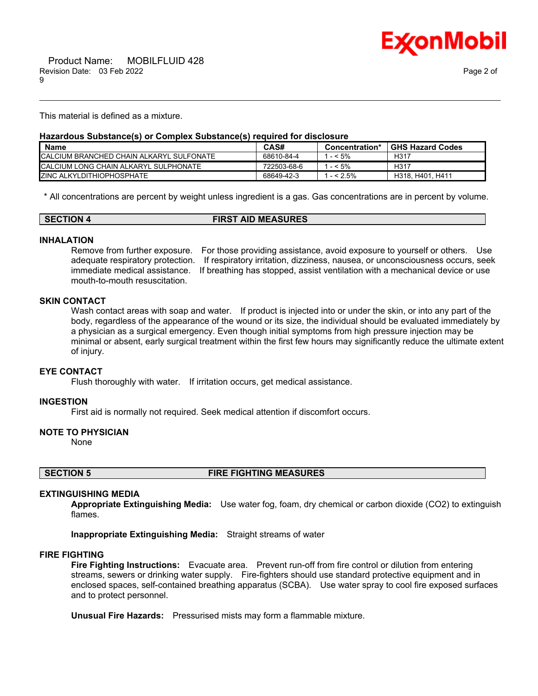

This material is defined as a mixture.

#### **Hazardous Substance(s) or Complex Substance(s) required for disclosure**

| <b>Name</b>                                     | CAS#        | Concentration* | <b>GHS Hazard Codes</b> |
|-------------------------------------------------|-------------|----------------|-------------------------|
| <b>CALCIUM BRANCHED CHAIN ALKARYL SULFONATE</b> | 68610-84-4  | $-5\%$         | H317                    |
| <b>ICALCIUM LONG CHAIN ALKARYL SULPHONATE</b>   | 722503-68-6 | $-5\%$         | H317                    |
| <b>IZINC ALKYLDITHIOPHOSPHATE</b>               | 68649-42-3  | $- < 2.5\%$    | H318, H401. .<br>H411   |

\_\_\_\_\_\_\_\_\_\_\_\_\_\_\_\_\_\_\_\_\_\_\_\_\_\_\_\_\_\_\_\_\_\_\_\_\_\_\_\_\_\_\_\_\_\_\_\_\_\_\_\_\_\_\_\_\_\_\_\_\_\_\_\_\_\_\_\_\_\_\_\_\_\_\_\_\_\_\_\_\_\_\_\_\_\_\_\_\_\_\_\_\_\_\_\_\_\_\_\_\_\_\_\_\_\_\_\_\_\_\_\_\_\_\_\_\_\_

\* All concentrations are percent by weight unless ingredient is a gas. Gas concentrations are in percent by volume.

| <b>SECTION 4</b> | <b>FIRST AID MEASURES</b> |
|------------------|---------------------------|
|                  |                           |

#### **INHALATION**

Remove from further exposure. For those providing assistance, avoid exposure to yourself or others. Use adequate respiratory protection. If respiratory irritation, dizziness, nausea, or unconsciousness occurs, seek immediate medical assistance. If breathing has stopped, assist ventilation with a mechanical device or use mouth-to-mouth resuscitation.

# **SKIN CONTACT**

Wash contact areas with soap and water. If product is injected into or under the skin, or into any part of the body, regardless of the appearance of the wound or its size, the individual should be evaluated immediately by a physician as a surgical emergency. Even though initial symptoms from high pressure injection may be minimal or absent, early surgical treatment within the first few hours may significantly reduce the ultimate extent of injury.

#### **EYE CONTACT**

Flush thoroughly with water. If irritation occurs, get medical assistance.

#### **INGESTION**

First aid is normally not required. Seek medical attention if discomfort occurs.

#### **NOTE TO PHYSICIAN**

None

**SECTION 5 FIRE FIGHTING MEASURES**

#### **EXTINGUISHING MEDIA**

**Appropriate Extinguishing Media:** Use water fog, foam, dry chemical or carbon dioxide (CO2) to extinguish flames.

**Inappropriate Extinguishing Media:** Straight streams of water

#### **FIRE FIGHTING**

**Fire Fighting Instructions:** Evacuate area. Prevent run-off from fire control or dilution from entering streams, sewers or drinking water supply. Fire-fighters should use standard protective equipment and in enclosed spaces, self-contained breathing apparatus (SCBA). Use water spray to cool fire exposed surfaces and to protect personnel.

**Unusual Fire Hazards:** Pressurised mists may form a flammable mixture.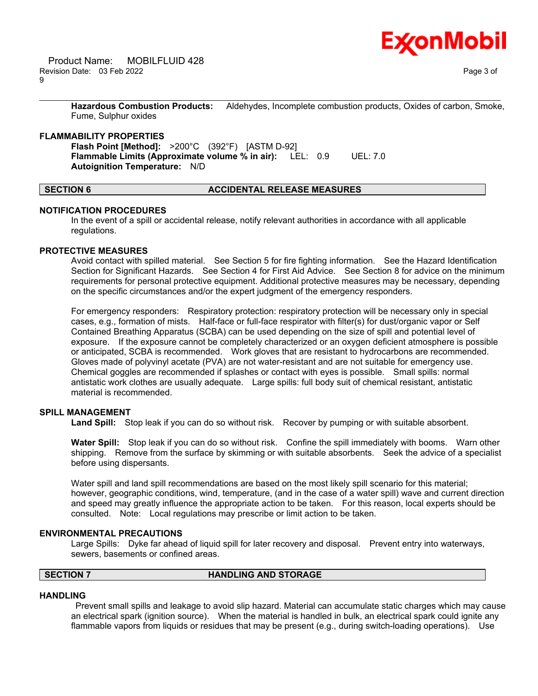**Hazardous Combustion Products:** Aldehydes, Incomplete combustion products, Oxides of carbon, Smoke, Fume, Sulphur oxides

\_\_\_\_\_\_\_\_\_\_\_\_\_\_\_\_\_\_\_\_\_\_\_\_\_\_\_\_\_\_\_\_\_\_\_\_\_\_\_\_\_\_\_\_\_\_\_\_\_\_\_\_\_\_\_\_\_\_\_\_\_\_\_\_\_\_\_\_\_\_\_\_\_\_\_\_\_\_\_\_\_\_\_\_\_\_\_\_\_\_\_\_\_\_\_\_\_\_\_\_\_\_\_\_\_\_\_\_\_\_\_\_\_\_\_\_\_\_

#### **FLAMMABILITY PROPERTIES**

**Flash Point [Method]:** >200°C (392°F) [ASTM D-92] **Flammable Limits (Approximate volume % in air):** LEL: 0.9 UEL: 7.0 **Autoignition Temperature:** N/D

# **SECTION 6 ACCIDENTAL RELEASE MEASURES**

#### **NOTIFICATION PROCEDURES**

In the event of a spill or accidental release, notify relevant authorities in accordance with all applicable regulations.

#### **PROTECTIVE MEASURES**

Avoid contact with spilled material. See Section 5 for fire fighting information. See the Hazard Identification Section for Significant Hazards. See Section 4 for First Aid Advice. See Section 8 for advice on the minimum requirements for personal protective equipment. Additional protective measures may be necessary, depending on the specific circumstances and/or the expert judgment of the emergency responders.

For emergency responders: Respiratory protection: respiratory protection will be necessary only in special cases, e.g., formation of mists. Half-face or full-face respirator with filter(s) for dust/organic vapor or Self Contained Breathing Apparatus (SCBA) can be used depending on the size of spill and potential level of exposure. If the exposure cannot be completely characterized or an oxygen deficient atmosphere is possible or anticipated, SCBA is recommended. Work gloves that are resistant to hydrocarbons are recommended. Gloves made of polyvinyl acetate (PVA) are not water-resistant and are not suitable for emergency use. Chemical goggles are recommended if splashes or contact with eyes is possible. Small spills: normal antistatic work clothes are usually adequate. Large spills: full body suit of chemical resistant, antistatic material is recommended.

### **SPILL MANAGEMENT**

**Land Spill:** Stop leak if you can do so without risk. Recover by pumping or with suitable absorbent.

**Water Spill:** Stop leak if you can do so without risk. Confine the spill immediately with booms. Warn other shipping. Remove from the surface by skimming or with suitable absorbents. Seek the advice of a specialist before using dispersants.

Water spill and land spill recommendations are based on the most likely spill scenario for this material; however, geographic conditions, wind, temperature, (and in the case of a water spill) wave and current direction and speed may greatly influence the appropriate action to be taken. For this reason, local experts should be consulted. Note: Local regulations may prescribe or limit action to be taken.

#### **ENVIRONMENTAL PRECAUTIONS**

Large Spills: Dyke far ahead of liquid spill for later recovery and disposal. Prevent entry into waterways, sewers, basements or confined areas.

# **SECTION 7 HANDLING AND STORAGE**

#### **HANDLING**

Prevent small spills and leakage to avoid slip hazard. Material can accumulate static charges which may cause an electrical spark (ignition source). When the material is handled in bulk, an electrical spark could ignite any flammable vapors from liquids or residues that may be present (e.g., during switch-loading operations). Use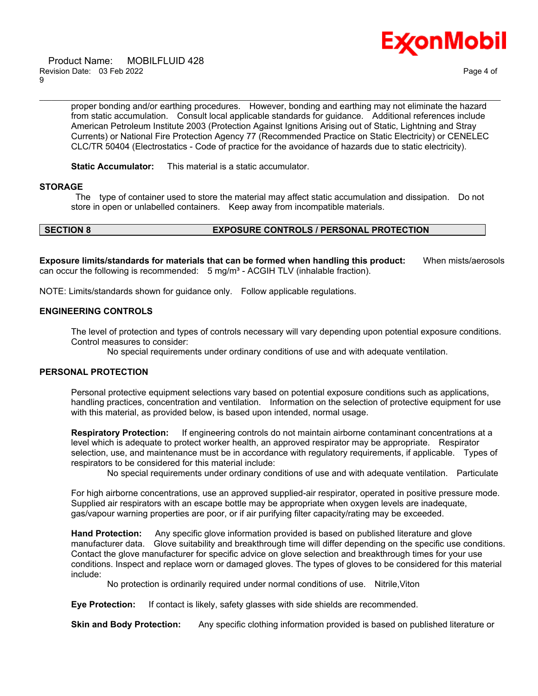

 Product Name: MOBILFLUID 428 Revision Date: 03 Feb 2022 Page 4 of 9

proper bonding and/or earthing procedures. However, bonding and earthing may not eliminate the hazard from static accumulation. Consult local applicable standards for guidance. Additional references include American Petroleum Institute 2003 (Protection Against Ignitions Arising out of Static, Lightning and Stray Currents) or National Fire Protection Agency 77 (Recommended Practice on Static Electricity) or CENELEC CLC/TR 50404 (Electrostatics - Code of practice for the avoidance of hazards due to static electricity).

\_\_\_\_\_\_\_\_\_\_\_\_\_\_\_\_\_\_\_\_\_\_\_\_\_\_\_\_\_\_\_\_\_\_\_\_\_\_\_\_\_\_\_\_\_\_\_\_\_\_\_\_\_\_\_\_\_\_\_\_\_\_\_\_\_\_\_\_\_\_\_\_\_\_\_\_\_\_\_\_\_\_\_\_\_\_\_\_\_\_\_\_\_\_\_\_\_\_\_\_\_\_\_\_\_\_\_\_\_\_\_\_\_\_\_\_\_\_

**Static Accumulator:** This material is a static accumulator.

#### **STORAGE**

The type of container used to store the material may affect static accumulation and dissipation. Do not store in open or unlabelled containers. Keep away from incompatible materials.

# **SECTION 8 EXPOSURE CONTROLS / PERSONAL PROTECTION**

**Exposure limits/standards for materials that can be formed when handling this product:** When mists/aerosols can occur the following is recommended:  $5 \text{ mg/m}^3$  - ACGIH TLV (inhalable fraction).

NOTE: Limits/standards shown for guidance only. Follow applicable regulations.

#### **ENGINEERING CONTROLS**

The level of protection and types of controls necessary will vary depending upon potential exposure conditions. Control measures to consider:

No special requirements under ordinary conditions of use and with adequate ventilation.

#### **PERSONAL PROTECTION**

Personal protective equipment selections vary based on potential exposure conditions such as applications, handling practices, concentration and ventilation. Information on the selection of protective equipment for use with this material, as provided below, is based upon intended, normal usage.

**Respiratory Protection:** If engineering controls do not maintain airborne contaminant concentrations at a level which is adequate to protect worker health, an approved respirator may be appropriate. Respirator selection, use, and maintenance must be in accordance with regulatory requirements, if applicable. Types of respirators to be considered for this material include:

No special requirements under ordinary conditions of use and with adequate ventilation. Particulate

For high airborne concentrations, use an approved supplied-air respirator, operated in positive pressure mode. Supplied air respirators with an escape bottle may be appropriate when oxygen levels are inadequate, gas/vapour warning properties are poor, or if air purifying filter capacity/rating may be exceeded.

**Hand Protection:** Any specific glove information provided is based on published literature and glove manufacturer data. Glove suitability and breakthrough time will differ depending on the specific use conditions. Contact the glove manufacturer for specific advice on glove selection and breakthrough times for your use conditions. Inspect and replace worn or damaged gloves. The types of gloves to be considered for this material include:

No protection is ordinarily required under normal conditions of use. Nitrile,Viton

**Eye Protection:** If contact is likely, safety glasses with side shields are recommended.

**Skin and Body Protection:** Any specific clothing information provided is based on published literature or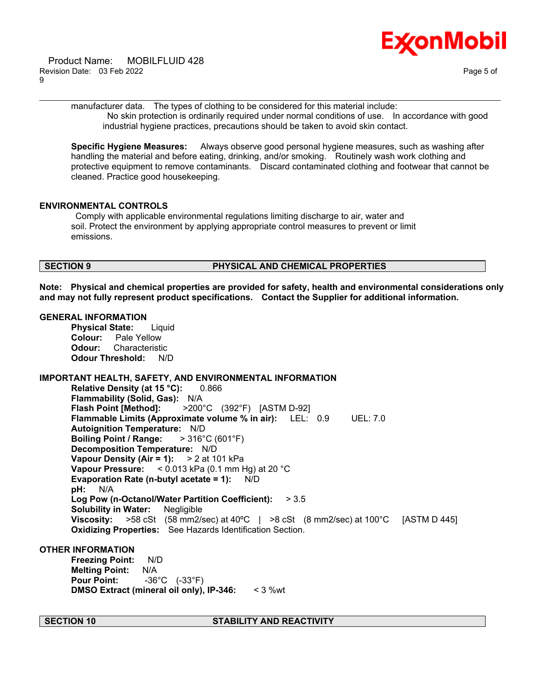

manufacturer data. The types of clothing to be considered for this material include: No skin protection is ordinarily required under normal conditions of use. In accordance with good industrial hygiene practices, precautions should be taken to avoid skin contact.

\_\_\_\_\_\_\_\_\_\_\_\_\_\_\_\_\_\_\_\_\_\_\_\_\_\_\_\_\_\_\_\_\_\_\_\_\_\_\_\_\_\_\_\_\_\_\_\_\_\_\_\_\_\_\_\_\_\_\_\_\_\_\_\_\_\_\_\_\_\_\_\_\_\_\_\_\_\_\_\_\_\_\_\_\_\_\_\_\_\_\_\_\_\_\_\_\_\_\_\_\_\_\_\_\_\_\_\_\_\_\_\_\_\_\_\_\_\_

**Specific Hygiene Measures:** Always observe good personal hygiene measures, such as washing after handling the material and before eating, drinking, and/or smoking. Routinely wash work clothing and protective equipment to remove contaminants. Discard contaminated clothing and footwear that cannot be cleaned. Practice good housekeeping.

### **ENVIRONMENTAL CONTROLS**

Comply with applicable environmental regulations limiting discharge to air, water and soil. Protect the environment by applying appropriate control measures to prevent or limit emissions.

# **SECTION 9 PHYSICAL AND CHEMICAL PROPERTIES**

**Note: Physical and chemical properties are provided for safety, health and environmental considerations only and may not fully represent product specifications. Contact the Supplier for additional information.**

### **GENERAL INFORMATION**

**Physical State:** Liquid **Colour:** Pale Yellow **Odour:** Characteristic **Odour Threshold:** N/D

# **IMPORTANT HEALTH, SAFETY, AND ENVIRONMENTAL INFORMATION**

**Relative Density (at 15 °C):** 0.866 **Flammability (Solid, Gas):** N/A **Flash Point [Method]:** >200°C (392°F) [ASTM D-92] **Flammable Limits (Approximate volume % in air):** LEL: 0.9 UEL: 7.0 **Autoignition Temperature:** N/D **Boiling Point / Range:** > 316°C (601°F) **Decomposition Temperature:** N/D **Vapour Density (Air = 1):** > 2 at 101 kPa **Vapour Pressure:** < 0.013 kPa (0.1 mm Hg) at 20 °C **Evaporation Rate (n-butyl acetate = 1):** N/D **pH:** N/A **Log Pow (n-Octanol/Water Partition Coefficient):** > 3.5 **Solubility in Water:** Negligible **Viscosity:** >58 cSt (58 mm2/sec) at 40ºC | >8 cSt (8 mm2/sec) at 100°C [ASTM D 445] **Oxidizing Properties:** See Hazards Identification Section.

### **OTHER INFORMATION**

**Freezing Point:** N/D **Melting Point:** N/A **Pour Point:** -36°C (-33°F) **DMSO Extract (mineral oil only), IP-346:** < 3 %wt

### **SECTION 10 STABILITY AND REACTIVITY**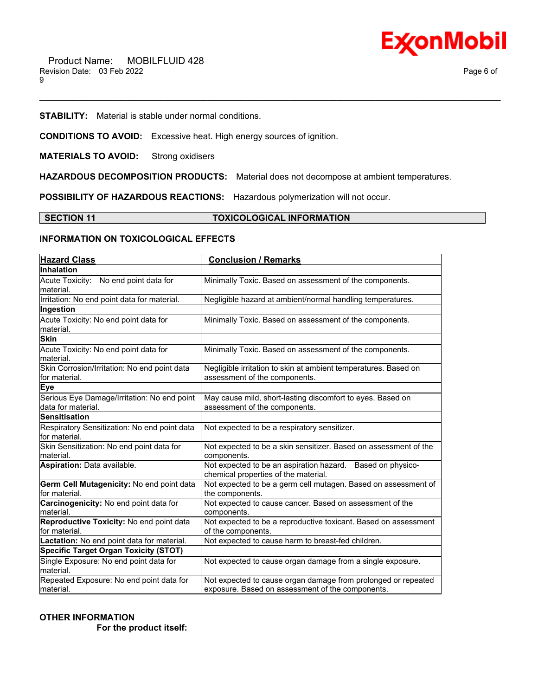

**STABILITY:** Material is stable under normal conditions.

**CONDITIONS TO AVOID:** Excessive heat. High energy sources of ignition.

**MATERIALS TO AVOID:** Strong oxidisers

**HAZARDOUS DECOMPOSITION PRODUCTS:** Material does not decompose at ambient temperatures.

**POSSIBILITY OF HAZARDOUS REACTIONS:** Hazardous polymerization will not occur.

#### **SECTION 11 TOXICOLOGICAL INFORMATION**

\_\_\_\_\_\_\_\_\_\_\_\_\_\_\_\_\_\_\_\_\_\_\_\_\_\_\_\_\_\_\_\_\_\_\_\_\_\_\_\_\_\_\_\_\_\_\_\_\_\_\_\_\_\_\_\_\_\_\_\_\_\_\_\_\_\_\_\_\_\_\_\_\_\_\_\_\_\_\_\_\_\_\_\_\_\_\_\_\_\_\_\_\_\_\_\_\_\_\_\_\_\_\_\_\_\_\_\_\_\_\_\_\_\_\_\_\_\_

# **INFORMATION ON TOXICOLOGICAL EFFECTS**

| <b>Hazard Class</b>                                               | <b>Conclusion / Remarks</b>                                                                                       |
|-------------------------------------------------------------------|-------------------------------------------------------------------------------------------------------------------|
| <b>Inhalation</b>                                                 |                                                                                                                   |
| Acute Toxicity: No end point data for<br>material.                | Minimally Toxic. Based on assessment of the components.                                                           |
| Irritation: No end point data for material.                       | Negligible hazard at ambient/normal handling temperatures.                                                        |
| Ingestion                                                         |                                                                                                                   |
| Acute Toxicity: No end point data for<br>material.                | Minimally Toxic. Based on assessment of the components.                                                           |
| <b>Skin</b>                                                       |                                                                                                                   |
| Acute Toxicity: No end point data for<br>material.                | Minimally Toxic. Based on assessment of the components.                                                           |
| Skin Corrosion/Irritation: No end point data<br>for material.     | Negligible irritation to skin at ambient temperatures. Based on<br>assessment of the components.                  |
| <b>Eye</b>                                                        |                                                                                                                   |
| Serious Eye Damage/Irritation: No end point<br>data for material. | May cause mild, short-lasting discomfort to eyes. Based on<br>assessment of the components.                       |
| <b>Sensitisation</b>                                              |                                                                                                                   |
| Respiratory Sensitization: No end point data<br>for material.     | Not expected to be a respiratory sensitizer.                                                                      |
| Skin Sensitization: No end point data for<br>material.            | Not expected to be a skin sensitizer. Based on assessment of the<br>components.                                   |
| Aspiration: Data available.                                       | Not expected to be an aspiration hazard. Based on physico-<br>chemical properties of the material.                |
| Germ Cell Mutagenicity: No end point data<br>for material.        | Not expected to be a germ cell mutagen. Based on assessment of<br>the components.                                 |
| Carcinogenicity: No end point data for<br>material.               | Not expected to cause cancer. Based on assessment of the<br>components.                                           |
| Reproductive Toxicity: No end point data<br>for material.         | Not expected to be a reproductive toxicant. Based on assessment<br>of the components.                             |
| Lactation: No end point data for material.                        | Not expected to cause harm to breast-fed children.                                                                |
| <b>Specific Target Organ Toxicity (STOT)</b>                      |                                                                                                                   |
| Single Exposure: No end point data for<br>material.               | Not expected to cause organ damage from a single exposure.                                                        |
| Repeated Exposure: No end point data for<br>material.             | Not expected to cause organ damage from prolonged or repeated<br>exposure. Based on assessment of the components. |

### **OTHER INFORMATION**

 **For the product itself:**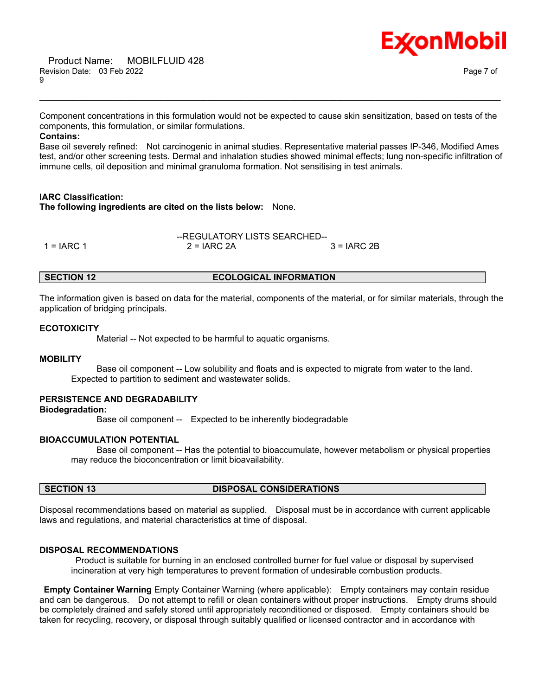

Component concentrations in this formulation would not be expected to cause skin sensitization, based on tests of the components, this formulation, or similar formulations.

\_\_\_\_\_\_\_\_\_\_\_\_\_\_\_\_\_\_\_\_\_\_\_\_\_\_\_\_\_\_\_\_\_\_\_\_\_\_\_\_\_\_\_\_\_\_\_\_\_\_\_\_\_\_\_\_\_\_\_\_\_\_\_\_\_\_\_\_\_\_\_\_\_\_\_\_\_\_\_\_\_\_\_\_\_\_\_\_\_\_\_\_\_\_\_\_\_\_\_\_\_\_\_\_\_\_\_\_\_\_\_\_\_\_\_\_\_\_

### **Contains:**

Base oil severely refined: Not carcinogenic in animal studies. Representative material passes IP-346, Modified Ames test, and/or other screening tests. Dermal and inhalation studies showed minimal effects; lung non-specific infiltration of immune cells, oil deposition and minimal granuloma formation. Not sensitising in test animals.

### **IARC Classification:**

**The following ingredients are cited on the lists below:** None.

|            | --REGULATORY LISTS SEARCHED-- |               |
|------------|-------------------------------|---------------|
| 1 = IARC 1 | $2 = IARC 2A$                 | $3 = IARC 2B$ |

# **SECTION 12 ECOLOGICAL INFORMATION**

The information given is based on data for the material, components of the material, or for similar materials, through the application of bridging principals.

# **ECOTOXICITY**

Material -- Not expected to be harmful to aquatic organisms.

# **MOBILITY**

 Base oil component -- Low solubility and floats and is expected to migrate from water to the land. Expected to partition to sediment and wastewater solids.

### **PERSISTENCE AND DEGRADABILITY**

# **Biodegradation:**

Base oil component -- Expected to be inherently biodegradable

### **BIOACCUMULATION POTENTIAL**

 Base oil component -- Has the potential to bioaccumulate, however metabolism or physical properties may reduce the bioconcentration or limit bioavailability.

### **SECTION 13 DISPOSAL CONSIDERATIONS**

Disposal recommendations based on material as supplied. Disposal must be in accordance with current applicable laws and regulations, and material characteristics at time of disposal.

### **DISPOSAL RECOMMENDATIONS**

Product is suitable for burning in an enclosed controlled burner for fuel value or disposal by supervised incineration at very high temperatures to prevent formation of undesirable combustion products.

**Empty Container Warning** Empty Container Warning (where applicable): Empty containers may contain residue and can be dangerous. Do not attempt to refill or clean containers without proper instructions. Empty drums should be completely drained and safely stored until appropriately reconditioned or disposed. Empty containers should be taken for recycling, recovery, or disposal through suitably qualified or licensed contractor and in accordance with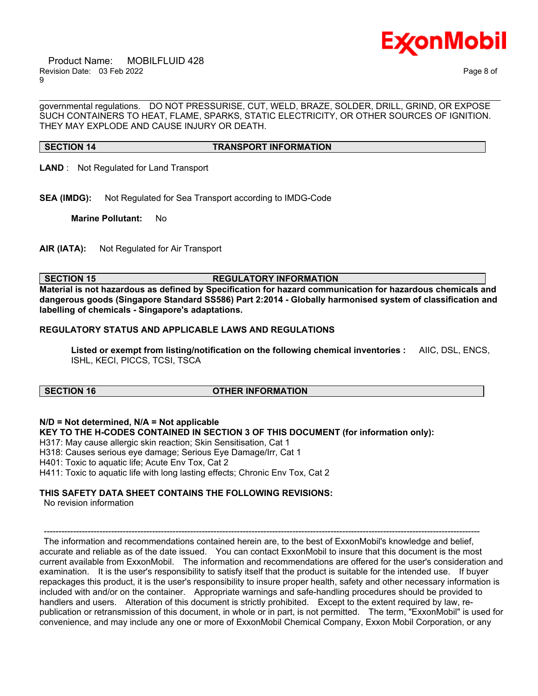

 Product Name: MOBILFLUID 428 Revision Date: 03 Feb 2022 Page 8 of 9

governmental regulations. DO NOT PRESSURISE, CUT, WELD, BRAZE, SOLDER, DRILL, GRIND, OR EXPOSE SUCH CONTAINERS TO HEAT, FLAME, SPARKS, STATIC ELECTRICITY, OR OTHER SOURCES OF IGNITION. THEY MAY EXPLODE AND CAUSE INJURY OR DEATH.

\_\_\_\_\_\_\_\_\_\_\_\_\_\_\_\_\_\_\_\_\_\_\_\_\_\_\_\_\_\_\_\_\_\_\_\_\_\_\_\_\_\_\_\_\_\_\_\_\_\_\_\_\_\_\_\_\_\_\_\_\_\_\_\_\_\_\_\_\_\_\_\_\_\_\_\_\_\_\_\_\_\_\_\_\_\_\_\_\_\_\_\_\_\_\_\_\_\_\_\_\_\_\_\_\_\_\_\_\_\_\_\_\_\_\_\_\_\_

#### **SECTION 14 TRANSPORT INFORMATION**

- **LAND** : Not Regulated for Land Transport
- **SEA (IMDG):** Not Regulated for Sea Transport according to IMDG-Code

**Marine Pollutant:** No

**AIR (IATA):** Not Regulated for Air Transport

### **SECTION 15 REGULATORY INFORMATION**

**Material is not hazardous as defined by Specification for hazard communication for hazardous chemicals and dangerous goods (Singapore Standard SS586) Part 2:2014 - Globally harmonised system of classification and labelling of chemicals - Singapore's adaptations.**

#### **REGULATORY STATUS AND APPLICABLE LAWS AND REGULATIONS**

**Listed or exempt from listing/notification on the following chemical inventories :** AIIC, DSL, ENCS, ISHL, KECI, PICCS, TCSI, TSCA

# **SECTION 16 OTHER INFORMATION**

**N/D = Not determined, N/A = Not applicable**

**KEY TO THE H-CODES CONTAINED IN SECTION 3 OF THIS DOCUMENT (for information only):**

H317: May cause allergic skin reaction; Skin Sensitisation, Cat 1

H318: Causes serious eye damage; Serious Eye Damage/Irr, Cat 1

H401: Toxic to aquatic life; Acute Env Tox, Cat 2

H411: Toxic to aquatic life with long lasting effects; Chronic Env Tox, Cat 2

# **THIS SAFETY DATA SHEET CONTAINS THE FOLLOWING REVISIONS:**

No revision information

The information and recommendations contained herein are, to the best of ExxonMobil's knowledge and belief, accurate and reliable as of the date issued. You can contact ExxonMobil to insure that this document is the most current available from ExxonMobil. The information and recommendations are offered for the user's consideration and examination. It is the user's responsibility to satisfy itself that the product is suitable for the intended use. If buyer repackages this product, it is the user's responsibility to insure proper health, safety and other necessary information is included with and/or on the container. Appropriate warnings and safe-handling procedures should be provided to handlers and users. Alteration of this document is strictly prohibited. Except to the extent required by law, republication or retransmission of this document, in whole or in part, is not permitted. The term, "ExxonMobil" is used for convenience, and may include any one or more of ExxonMobil Chemical Company, Exxon Mobil Corporation, or any

-----------------------------------------------------------------------------------------------------------------------------------------------------